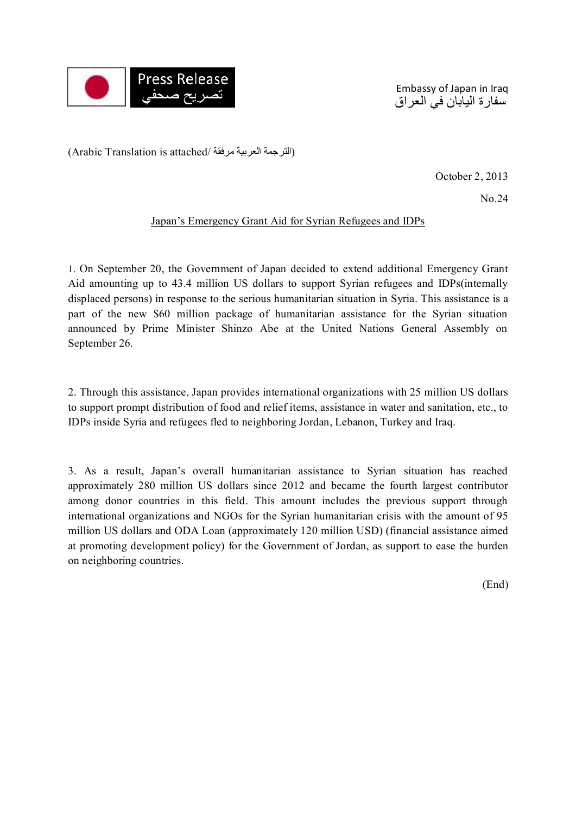

Embassy of Japan in Iraq سفارة اليابان في العراق

(الترجمة العربية مرفقة /Arabic Translation is attached)

October 2, 2013

No.24

## Japan's Emergency Grant Aid for Syrian Refugees and IDPs

1. On September 20, the Government of Japan decided to extend additional Emergency Grant Aid amounting up to 43.4 million US dollars to support Syrian refugees and IDPs(internally displaced persons) in response to the serious humanitarian situation in Syria. This assistance is a part of the new \$60 million package of humanitarian assistance for the Syrian situation announced by Prime Minister Shinzo Abe at the United Nations General Assembly on September 26.

2. Through this assistance, Japan provides international organizations with 25 million US dollars to support prompt distribution of food and relief items, assistance in water and sanitation, etc., to IDPs inside Syria and refugees fled to neighboring Jordan, Lebanon, Turkey and Iraq.

3. As a result, Japan's overall humanitarian assistance to Syrian situation has reached approximately 280 million US dollars since 2012 and became the fourth largest contributor among donor countries in this field. This amount includes the previous support through international organizations and NGOs for the Syrian humanitarian crisis with the amount of 95 million US dollars and ODA Loan (approximately 120 million USD) (financial assistance aimed at promoting development policy) for the Government of Jordan, as support to ease the burden on neighboring countries.

(End)